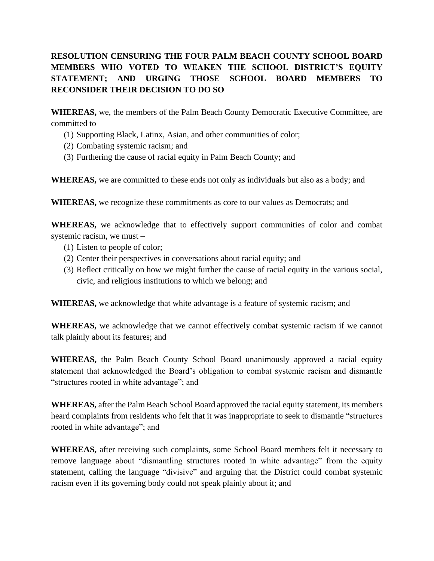## **RESOLUTION CENSURING THE FOUR PALM BEACH COUNTY SCHOOL BOARD MEMBERS WHO VOTED TO WEAKEN THE SCHOOL DISTRICT'S EQUITY STATEMENT; AND URGING THOSE SCHOOL BOARD MEMBERS TO RECONSIDER THEIR DECISION TO DO SO**

**WHEREAS,** we, the members of the Palm Beach County Democratic Executive Committee, are committed to –

- (1) Supporting Black, Latinx, Asian, and other communities of color;
- (2) Combating systemic racism; and
- (3) Furthering the cause of racial equity in Palm Beach County; and

**WHEREAS,** we are committed to these ends not only as individuals but also as a body; and

**WHEREAS,** we recognize these commitments as core to our values as Democrats; and

**WHEREAS,** we acknowledge that to effectively support communities of color and combat systemic racism, we must –

- (1) Listen to people of color;
- (2) Center their perspectives in conversations about racial equity; and
- (3) Reflect critically on how we might further the cause of racial equity in the various social, civic, and religious institutions to which we belong; and

**WHEREAS,** we acknowledge that white advantage is a feature of systemic racism; and

**WHEREAS,** we acknowledge that we cannot effectively combat systemic racism if we cannot talk plainly about its features; and

**WHEREAS,** the Palm Beach County School Board unanimously approved a racial equity statement that acknowledged the Board's obligation to combat systemic racism and dismantle "structures rooted in white advantage"; and

**WHEREAS,** after the Palm Beach School Board approved the racial equity statement, its members heard complaints from residents who felt that it was inappropriate to seek to dismantle "structures rooted in white advantage"; and

**WHEREAS,** after receiving such complaints, some School Board members felt it necessary to remove language about "dismantling structures rooted in white advantage" from the equity statement, calling the language "divisive" and arguing that the District could combat systemic racism even if its governing body could not speak plainly about it; and